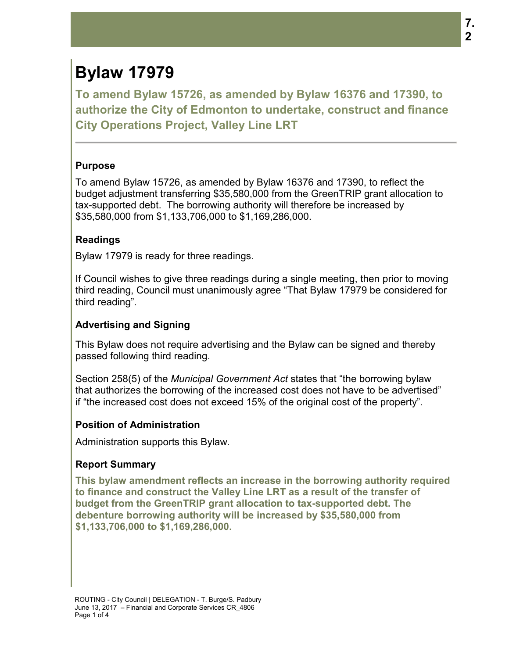# **Bylaw 17979**

**To amend Bylaw 15726, as amended by Bylaw 16376 and 17390, to authorize the City of Edmonton to undertake, construct and finance City Operations Project, Valley Line LRT** 

## **Purpose**

To amend Bylaw 15726, as amended by Bylaw 16376 and 17390, to reflect the budget adjustment transferring \$35,580,000 from the GreenTRIP grant allocation to tax-supported debt. The borrowing authority will therefore be increased by \$35,580,000 from \$1,133,706,000 to \$1,169,286,000.

## **Readings**

Bylaw 17979 is ready for three readings.

If Council wishes to give three readings during a single meeting, then prior to moving third reading, Council must unanimously agree "That Bylaw 17979 be considered for third reading".

## **Advertising and Signing**

This Bylaw does not require advertising and the Bylaw can be signed and thereby passed following third reading.

Section 258(5) of the *Municipal Government Act* states that "the borrowing bylaw that authorizes the borrowing of the increased cost does not have to be advertised" if "the increased cost does not exceed 15% of the original cost of the property".

### **Position of Administration**

Administration supports this Bylaw.

### **Report Summary**

**This bylaw amendment reflects an increase in the borrowing authority required to finance and construct the Valley Line LRT as a result of the transfer of budget from the GreenTRIP grant allocation to tax-supported debt. The debenture borrowing authority will be increased by \$35,580,000 from \$1,133,706,000 to \$1,169,286,000.**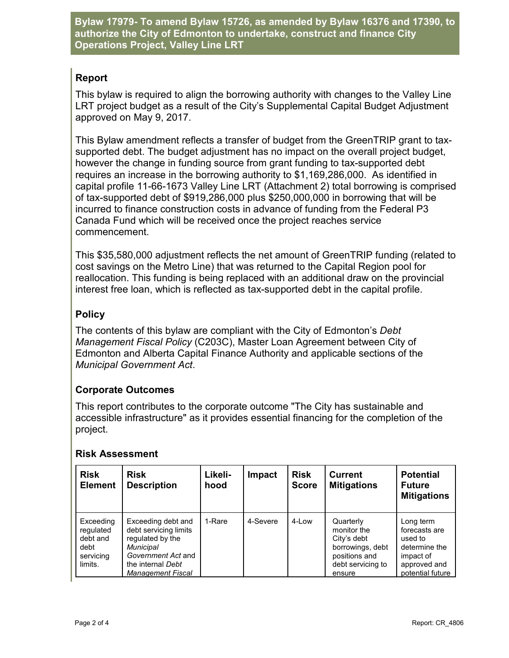**Bylaw 17979- To amend Bylaw 15726, as amended by Bylaw 16376 and 17390, to authorize the City of Edmonton to undertake, construct and finance City Operations Project, Valley Line LRT** 

## **Report**

This bylaw is required to align the borrowing authority with changes to the Valley Line LRT project budget as a result of the City's Supplemental Capital Budget Adjustment approved on May 9, 2017.

This Bylaw amendment reflects a transfer of budget from the GreenTRIP grant to taxsupported debt. The budget adjustment has no impact on the overall project budget, however the change in funding source from grant funding to tax-supported debt requires an increase in the borrowing authority to \$1,169,286,000. As identified in capital profile 11-66-1673 Valley Line LRT (Attachment 2) total borrowing is comprised of tax-supported debt of \$919,286,000 plus \$250,000,000 in borrowing that will be incurred to finance construction costs in advance of funding from the Federal P3 Canada Fund which will be received once the project reaches service commencement.

This \$35,580,000 adjustment reflects the net amount of GreenTRIP funding (related to cost savings on the Metro Line) that was returned to the Capital Region pool for reallocation. This funding is being replaced with an additional draw on the provincial interest free loan, which is reflected as tax-supported debt in the capital profile.

## **Policy**

The contents of this bylaw are compliant with the City of Edmonton's *Debt Management Fiscal Policy* (C203C), Master Loan Agreement between City of Edmonton and Alberta Capital Finance Authority and applicable sections of the *Municipal Government Act*.

## **Corporate Outcomes**

This report contributes to the corporate outcome "The City has sustainable and accessible infrastructure" as it provides essential financing for the completion of the project.

## **Risk Assessment**

| <b>Risk</b><br><b>Element</b>                                      | <b>Risk</b><br><b>Description</b>                                                                                                                          | Likeli-<br>hood | Impact   | <b>Risk</b><br><b>Score</b> | <b>Current</b><br><b>Mitigations</b>                                                                        | <b>Potential</b><br><b>Future</b><br><b>Mitigations</b>                                                 |
|--------------------------------------------------------------------|------------------------------------------------------------------------------------------------------------------------------------------------------------|-----------------|----------|-----------------------------|-------------------------------------------------------------------------------------------------------------|---------------------------------------------------------------------------------------------------------|
| Exceeding<br>regulated<br>debt and<br>debt<br>servicing<br>limits. | Exceeding debt and<br>debt servicing limits<br>regulated by the<br><b>Municipal</b><br>Government Act and<br>the internal Debt<br><b>Management Fiscal</b> | 1-Rare          | 4-Severe | 4-Low                       | Quarterly<br>monitor the<br>City's debt<br>borrowings, debt<br>positions and<br>debt servicing to<br>ensure | Long term<br>forecasts are<br>used to<br>determine the<br>impact of<br>approved and<br>potential future |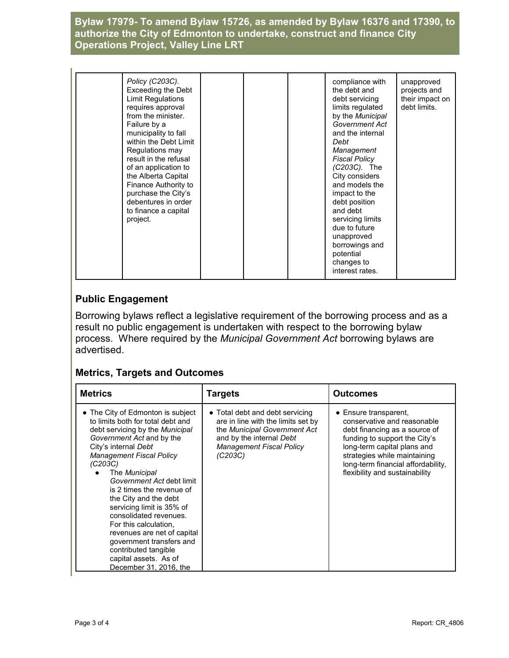## **Bylaw 17979- To amend Bylaw 15726, as amended by Bylaw 16376 and 17390, to authorize the City of Edmonton to undertake, construct and finance City Operations Project, Valley Line LRT**

| Policy (C203C).<br>Exceeding the Debt<br>Limit Regulations<br>requires approval<br>from the minister.<br>Failure by a<br>municipality to fall<br>within the Debt Limit<br>Regulations may<br>result in the refusal<br>of an application to<br>the Alberta Capital<br>Finance Authority to<br>purchase the City's<br>debentures in order<br>to finance a capital<br>project. |  |  | compliance with<br>the debt and<br>debt servicing<br>limits regulated<br>by the Municipal<br>Government Act<br>and the internal<br>Debt<br>Management<br><b>Fiscal Policy</b><br>(C203C). The<br>City considers<br>and models the<br>impact to the<br>debt position<br>and debt<br>servicing limits<br>due to future<br>unapproved<br>borrowings and<br>potential<br>changes to<br>interest rates. | unapproved<br>projects and<br>their impact on<br>debt limits. |
|-----------------------------------------------------------------------------------------------------------------------------------------------------------------------------------------------------------------------------------------------------------------------------------------------------------------------------------------------------------------------------|--|--|----------------------------------------------------------------------------------------------------------------------------------------------------------------------------------------------------------------------------------------------------------------------------------------------------------------------------------------------------------------------------------------------------|---------------------------------------------------------------|
|-----------------------------------------------------------------------------------------------------------------------------------------------------------------------------------------------------------------------------------------------------------------------------------------------------------------------------------------------------------------------------|--|--|----------------------------------------------------------------------------------------------------------------------------------------------------------------------------------------------------------------------------------------------------------------------------------------------------------------------------------------------------------------------------------------------------|---------------------------------------------------------------|

## **Public Engagement**

Borrowing bylaws reflect a legislative requirement of the borrowing process and as a result no public engagement is undertaken with respect to the borrowing bylaw process. Where required by the *Municipal Government Act* borrowing bylaws are advertised.

### **Metrics, Targets and Outcomes**

| <b>Metrics</b>                                                                                                                                                                                                                                                                                                                                                                                                                                                                                                                         | <b>Targets</b>                                                                                                                                                                  | <b>Outcomes</b>                                                                                                                                                                                                                                               |
|----------------------------------------------------------------------------------------------------------------------------------------------------------------------------------------------------------------------------------------------------------------------------------------------------------------------------------------------------------------------------------------------------------------------------------------------------------------------------------------------------------------------------------------|---------------------------------------------------------------------------------------------------------------------------------------------------------------------------------|---------------------------------------------------------------------------------------------------------------------------------------------------------------------------------------------------------------------------------------------------------------|
| • The City of Edmonton is subject<br>to limits both for total debt and<br>debt servicing by the Municipal<br>Government Act and by the<br>City's internal Debt<br><b>Management Fiscal Policy</b><br>(C203C)<br>The Municipal<br>Government Act debt limit<br>is 2 times the revenue of<br>the City and the debt<br>servicing limit is 35% of<br>consolidated revenues.<br>For this calculation.<br>revenues are net of capital<br>government transfers and<br>contributed tangible<br>capital assets. As of<br>December 31, 2016, the | • Total debt and debt servicing<br>are in line with the limits set by<br>the Municipal Government Act<br>and by the internal Debt<br><b>Management Fiscal Policy</b><br>(C203C) | • Ensure transparent,<br>conservative and reasonable<br>debt financing as a source of<br>funding to support the City's<br>long-term capital plans and<br>strategies while maintaining<br>long-term financial affordability,<br>flexibility and sustainability |